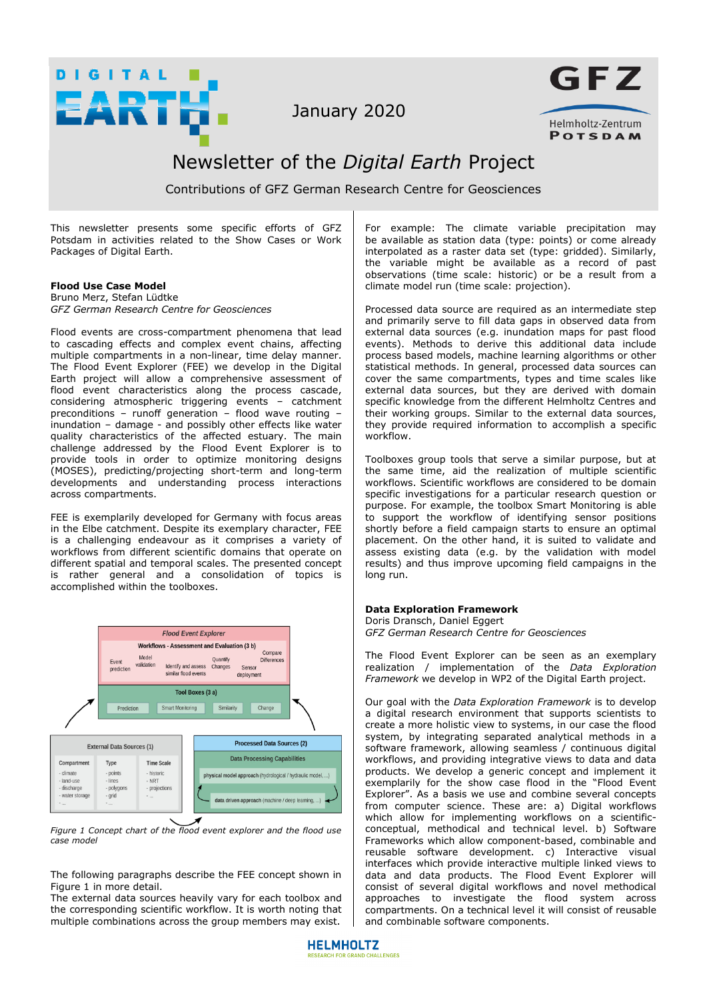

January 2020



# Newsletter of the *Digital Earth* Project

Contributions of GFZ German Research Centre for Geosciences

This newsletter presents some specific efforts of GFZ Potsdam in activities related to the Show Cases or Work Packages of Digital Earth.

## **Flood Use Case Model**

Bruno Merz, Stefan Lüdtke *GFZ German Research Centre for Geosciences*

Flood events are cross-compartment phenomena that lead to cascading effects and complex event chains, affecting multiple compartments in a non-linear, time delay manner. The Flood Event Explorer (FEE) we develop in the Digital Earth project will allow a comprehensive assessment of flood event characteristics along the process cascade, considering atmospheric triggering events – catchment preconditions – runoff generation – flood wave routing – inundation – damage - and possibly other effects like water quality characteristics of the affected estuary. The main challenge addressed by the Flood Event Explorer is to provide tools in order to optimize monitoring designs (MOSES), predicting/projecting short-term and long-term developments and understanding process interactions across compartments.

FEE is exemplarily developed for Germany with focus areas in the Elbe catchment. Despite its exemplary character, FEE is a challenging endeavour as it comprises a variety of workflows from different scientific domains that operate on different spatial and temporal scales. The presented concept is rather general and a consolidation of topics is accomplished within the toolboxes.



*Figure 1 Concept chart of the flood event explorer and the flood use case model*

The following paragraphs describe the FEE concept shown in Figure 1 in more detail.

The external data sources heavily vary for each toolbox and the corresponding scientific workflow. It is worth noting that multiple combinations across the group members may exist.

For example: The climate variable precipitation may be available as station data (type: points) or come already interpolated as a raster data set (type: gridded). Similarly, the variable might be available as a record of past observations (time scale: historic) or be a result from a climate model run (time scale: projection).

Processed data source are required as an intermediate step and primarily serve to fill data gaps in observed data from external data sources (e.g. inundation maps for past flood events). Methods to derive this additional data include process based models, machine learning algorithms or other statistical methods. In general, processed data sources can cover the same compartments, types and time scales like external data sources, but they are derived with domain specific knowledge from the different Helmholtz Centres and their working groups. Similar to the external data sources, they provide required information to accomplish a specific workflow.

Toolboxes group tools that serve a similar purpose, but at the same time, aid the realization of multiple scientific workflows. Scientific workflows are considered to be domain specific investigations for a particular research question or purpose. For example, the toolbox Smart Monitoring is able to support the workflow of identifying sensor positions shortly before a field campaign starts to ensure an optimal placement. On the other hand, it is suited to validate and assess existing data (e.g. by the validation with model results) and thus improve upcoming field campaigns in the long run.

## **Data Exploration Framework**

[Doris Dransch,](https://www.gfz-potsdam.de/staff/doris-dransch/) [Daniel Eggert](https://www.gfz-potsdam.de/staff/daniel-eggert/)  *GFZ German Research Centre for Geosciences* 

The Flood Event Explorer can be seen as an exemplary realization / implementation of the *Data Exploration Framework* we develop in WP2 of the Digital Earth project.

Our goal with the *Data Exploration Framework* is to develop a digital research environment that supports scientists to create a more holistic view to systems, in our case the flood system, by integrating separated analytical methods in a software framework, allowing seamless / continuous digital workflows, and providing integrative views to data and data products. We develop a generic concept and implement it exemplarily for the show case flood in the "Flood Event Explorer". As a basis we use and combine several concepts from computer science. These are: a) Digital workflows which allow for implementing workflows on a scientificconceptual, methodical and technical level. b) Software Frameworks which allow component-based, combinable and reusable software development. c) Interactive visual interfaces which provide interactive multiple linked views to data and data products. The Flood Event Explorer will consist of several digital workflows and novel methodical approaches to investigate the flood system across compartments. On a technical level it will consist of reusable and combinable software components.

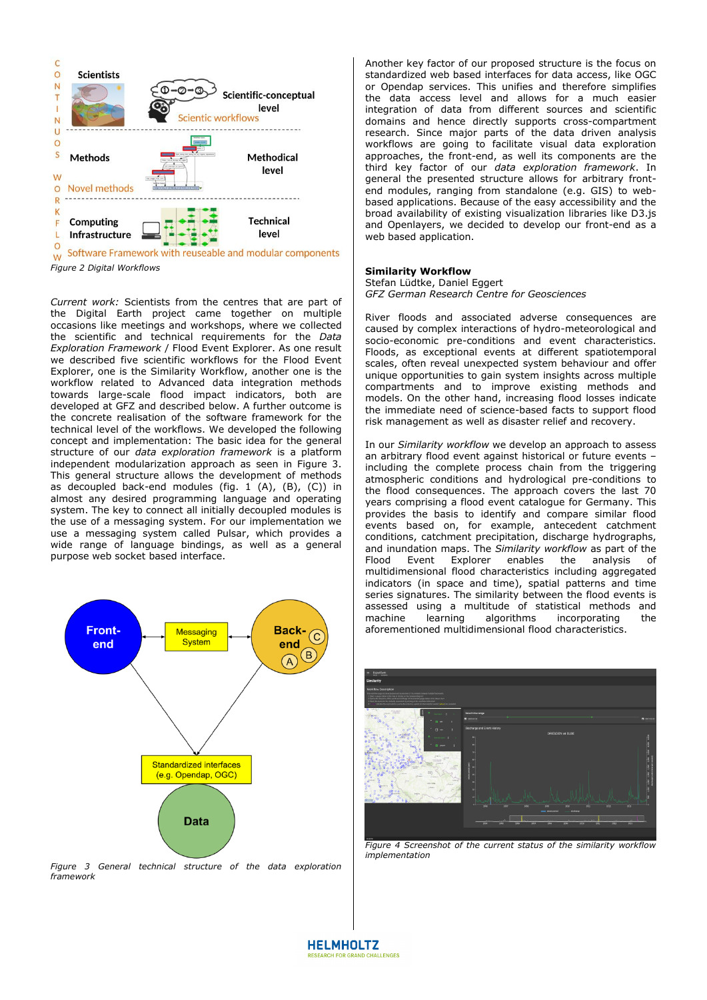

*Figure 2 Digital Workflows*

*Current work:* Scientists from the centres that are part of the Digital Earth project came together on multiple occasions like meetings and workshops, where we collected the scientific and technical requirements for the *Data Exploration Framework* / Flood Event Explorer. As one result we described five scientific workflows for the Flood Event Explorer, one is the Similarity Workflow, another one is the workflow related to Advanced data integration methods towards large-scale flood impact indicators, both are developed at GFZ and described below. A further outcome is the concrete realisation of the software framework for the technical level of the workflows. We developed the following concept and implementation: The basic idea for the general structure of our *data exploration framework* is a platform independent modularization approach as seen in Figure 3. This general structure allows the development of methods as decoupled back-end modules (fig.  $1$  (A), (B), (C)) in almost any desired programming language and operating system. The key to connect all initially decoupled modules is the use of a messaging system. For our implementation we use a messaging system called Pulsar, which provides a wide range of language bindings, as well as a general purpose web socket based interface.



*Figure 3 General technical structure of the data exploration framework* 

Another key factor of our proposed structure is the focus on standardized web based interfaces for data access, like OGC or Opendap services. This unifies and therefore simplifies the data access level and allows for a much easier integration of data from different sources and scientific domains and hence directly supports cross-compartment research. Since major parts of the data driven analysis workflows are going to facilitate visual data exploration approaches, the front-end, as well its components are the third key factor of our *data exploration framework*. In general the presented structure allows for arbitrary frontend modules, ranging from standalone (e.g. GIS) to webbased applications. Because of the easy accessibility and the broad availability of existing visualization libraries like D3.js and Openlayers, we decided to develop our front-end as a web based application.

#### **Similarity Workflow**

[Stefan Lüdtke,](https://www.gfz-potsdam.de/staff/stefan-luedtke/) [Daniel Eggert](https://www.gfz-potsdam.de/staff/daniel-eggert/)  *GFZ German Research Centre for Geosciences* 

River floods and associated adverse consequences are caused by complex interactions of hydro-meteorological and socio-economic pre-conditions and event characteristics. Floods, as exceptional events at different spatiotemporal scales, often reveal unexpected system behaviour and offer unique opportunities to gain system insights across multiple compartments and to improve existing methods and models. On the other hand, increasing flood losses indicate the immediate need of science-based facts to support flood risk management as well as disaster relief and recovery.

In our *Similarity workflow* we develop an approach to assess an arbitrary flood event against historical or future events – including the complete process chain from the triggering atmospheric conditions and hydrological pre-conditions to the flood consequences. The approach covers the last 70 years comprising a flood event catalogue for Germany. This provides the basis to identify and compare similar flood events based on, for example, antecedent catchment conditions, catchment precipitation, discharge hydrographs, and inundation maps. The *Similarity workflow* as part of the Flood Event Explorer enables the analysis of multidimensional flood characteristics including aggregated indicators (in space and time), spatial patterns and time series signatures. The similarity between the flood events is assessed using a multitude of statistical methods and machine learning algorithms incorporating the aforementioned multidimensional flood characteristics.



*Figure 4 Screenshot of the current status of the similarity workflow implementation*